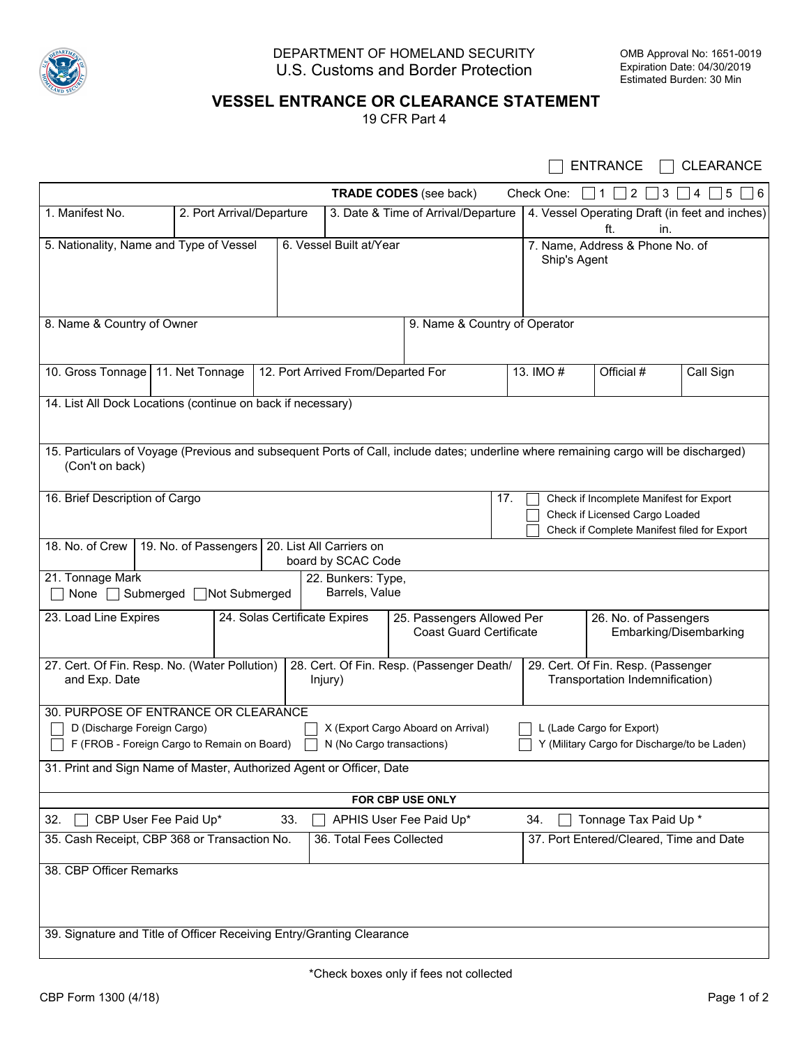

## DEPARTMENT OF HOMELAND SECURITY U.S. Customs and Border Protection

## **VESSEL ENTRANCE OR CLEARANCE STATEMENT**

19 CFR Part 4

|                                                                                                                                                                                                                                                                    |                                                                                             |     |                                                                                                                          |                                           |                                                                                                                 |                                                                       | <b>ENTRANCE</b>                                              | <b>CLEARANCE</b>  |  |
|--------------------------------------------------------------------------------------------------------------------------------------------------------------------------------------------------------------------------------------------------------------------|---------------------------------------------------------------------------------------------|-----|--------------------------------------------------------------------------------------------------------------------------|-------------------------------------------|-----------------------------------------------------------------------------------------------------------------|-----------------------------------------------------------------------|--------------------------------------------------------------|-------------------|--|
|                                                                                                                                                                                                                                                                    |                                                                                             |     |                                                                                                                          | <b>TRADE CODES</b> (see back)             |                                                                                                                 | Check One:                                                            | $\overline{2}$<br>$\mathbf{1}$<br>3                          | 4<br>$\,$ 5<br> 6 |  |
| 1. Manifest No.                                                                                                                                                                                                                                                    | 2. Port Arrival/Departure                                                                   |     |                                                                                                                          | 3. Date & Time of Arrival/Departure       |                                                                                                                 |                                                                       | 4. Vessel Operating Draft (in feet and inches)<br>ft.<br>in. |                   |  |
|                                                                                                                                                                                                                                                                    | 5. Nationality, Name and Type of Vessel                                                     |     | 6. Vessel Built at/Year                                                                                                  |                                           |                                                                                                                 | Ship's Agent                                                          | 7. Name, Address & Phone No. of                              |                   |  |
| 8. Name & Country of Owner<br>9. Name & Country of Operator                                                                                                                                                                                                        |                                                                                             |     |                                                                                                                          |                                           |                                                                                                                 |                                                                       |                                                              |                   |  |
| 10. Gross Tonnage   11. Net Tonnage                                                                                                                                                                                                                                |                                                                                             |     | 12. Port Arrived From/Departed For                                                                                       |                                           |                                                                                                                 | 13. IMO #                                                             | Official #                                                   | Call Sign         |  |
| 14. List All Dock Locations (continue on back if necessary)                                                                                                                                                                                                        |                                                                                             |     |                                                                                                                          |                                           |                                                                                                                 |                                                                       |                                                              |                   |  |
| 15. Particulars of Voyage (Previous and subsequent Ports of Call, include dates; underline where remaining cargo will be discharged)<br>(Con't on back)                                                                                                            |                                                                                             |     |                                                                                                                          |                                           |                                                                                                                 |                                                                       |                                                              |                   |  |
| 16. Brief Description of Cargo                                                                                                                                                                                                                                     |                                                                                             | 17. | Check if Incomplete Manifest for Export<br>Check if Licensed Cargo Loaded<br>Check if Complete Manifest filed for Export |                                           |                                                                                                                 |                                                                       |                                                              |                   |  |
|                                                                                                                                                                                                                                                                    | 18. No. of Crew   19. No. of Passengers  <br>20. List All Carriers on<br>board by SCAC Code |     |                                                                                                                          |                                           |                                                                                                                 |                                                                       |                                                              |                   |  |
| 21. Tonnage Mark<br>22. Bunkers: Type,<br>Barrels, Value<br>None □ Submerged □ Not Submerged                                                                                                                                                                       |                                                                                             |     |                                                                                                                          |                                           |                                                                                                                 |                                                                       |                                                              |                   |  |
| 23. Load Line Expires<br>24. Solas Certificate Expires                                                                                                                                                                                                             |                                                                                             |     |                                                                                                                          |                                           | 25. Passengers Allowed Per<br>26. No. of Passengers<br><b>Coast Guard Certificate</b><br>Embarking/Disembarking |                                                                       |                                                              |                   |  |
| 27. Cert. Of Fin. Resp. No. (Water Pollution)<br>and Exp. Date<br>Injury)                                                                                                                                                                                          |                                                                                             |     |                                                                                                                          | 28. Cert. Of Fin. Resp. (Passenger Death/ |                                                                                                                 | 29. Cert. Of Fin. Resp. (Passenger<br>Transportation Indemnification) |                                                              |                   |  |
| 30. PURPOSE OF ENTRANCE OR CLEARANCE<br>X (Export Cargo Aboard on Arrival)<br>D (Discharge Foreign Cargo)<br>L (Lade Cargo for Export)<br>Y (Military Cargo for Discharge/to be Laden)<br>F (FROB - Foreign Cargo to Remain on Board)<br>N (No Cargo transactions) |                                                                                             |     |                                                                                                                          |                                           |                                                                                                                 |                                                                       |                                                              |                   |  |
| 31. Print and Sign Name of Master, Authorized Agent or Officer, Date                                                                                                                                                                                               |                                                                                             |     |                                                                                                                          |                                           |                                                                                                                 |                                                                       |                                                              |                   |  |
| FOR CBP USE ONLY                                                                                                                                                                                                                                                   |                                                                                             |     |                                                                                                                          |                                           |                                                                                                                 |                                                                       |                                                              |                   |  |
| Tonnage Tax Paid Up *<br>CBP User Fee Paid Up*<br>33.<br>APHIS User Fee Paid Up*<br>32.<br>34.<br>37. Port Entered/Cleared, Time and Date<br>35. Cash Receipt, CBP 368 or Transaction No.<br>36. Total Fees Collected                                              |                                                                                             |     |                                                                                                                          |                                           |                                                                                                                 |                                                                       |                                                              |                   |  |
|                                                                                                                                                                                                                                                                    |                                                                                             |     |                                                                                                                          |                                           |                                                                                                                 |                                                                       |                                                              |                   |  |
| 38. CBP Officer Remarks                                                                                                                                                                                                                                            |                                                                                             |     |                                                                                                                          |                                           |                                                                                                                 |                                                                       |                                                              |                   |  |
| 39. Signature and Title of Officer Receiving Entry/Granting Clearance                                                                                                                                                                                              |                                                                                             |     |                                                                                                                          |                                           |                                                                                                                 |                                                                       |                                                              |                   |  |